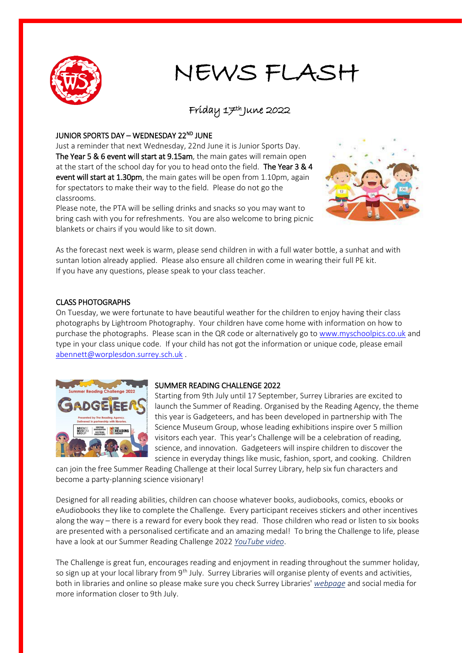

# NEWS FLASH

#### Friday 17th June 2022

#### JUNIOR SPORTS DAY – WEDNESDAY 22<sup>ND</sup> JUNE

Just a reminder that next Wednesday, 22nd June it is Junior Sports Day. The Year 5 & 6 event will start at 9.15am, the main gates will remain open at the start of the school day for you to head onto the field. The Year 3 & 4 event will start at 1.30pm, the main gates will be open from 1.10pm, again for spectators to make their way to the field. Please do not go the classrooms.

Please note, the PTA will be selling drinks and snacks so you may want to bring cash with you for refreshments. You are also welcome to bring picnic blankets or chairs if you would like to sit down.



As the forecast next week is warm, please send children in with a full water bottle, a sunhat and with suntan lotion already applied. Please also ensure all children come in wearing their full PE kit. If you have any questions, please speak to your class teacher.

#### CLASS PHOTOGRAPHS

On Tuesday, we were fortunate to have beautiful weather for the children to enjoy having their class photographs by Lightroom Photography. Your children have come home with information on how to purchase the photographs. Please scan in the QR code or alternatively go t[o www.myschoolpics.co.uk](http://www.myschoolpics.co.uk/) and type in your class unique code. If your child has not got the information or unique code, please email [abennett@worplesdon.surrey.sch.uk](mailto:abennett@worplesdon.surrey.sch.uk) .



#### SUMMER READING CHALLENGE 2022

Starting from 9th July until 17 September, Surrey Libraries are excited to launch the Summer of Reading. Organised by the Reading Agency, the theme this year is Gadgeteers, and has been developed in partnership with The Science Museum Group, whose leading exhibitions inspire over 5 million visitors each year. This year's Challenge will be a celebration of reading, science, and innovation. Gadgeteers will inspire children to discover the science in everyday things like music, fashion, sport, and cooking. Children

can join the free Summer Reading Challenge at their local Surrey Library, help six fun characters and become a party-planning science visionary!

Designed for all reading abilities, children can choose whatever books, audiobooks, comics, ebooks or eAudiobooks they like to complete the Challenge. Every participant receives stickers and other incentives along the way – there is a reward for every book they read. Those children who read or listen to six books are presented with a personalised certificate and an amazing medal! To bring the Challenge to life, please have a look at our Summer Reading Challenge 2022 *[YouTube video](https://www.youtube.com/watch?v=43n21gNcR5A)*.

The Challenge is great fun, encourages reading and enjoyment in reading throughout the summer holiday, so sign up at your local library from 9<sup>th</sup> July. Surrey Libraries will organise plenty of events and activities, both in libraries and online so please make sure you check Surrey Libraries' *[webpage](https://www.surreycc.gov.uk/libraries/children/5-to-12-year-olds/summer-reading-challenge)* and social media for more information closer to 9th July.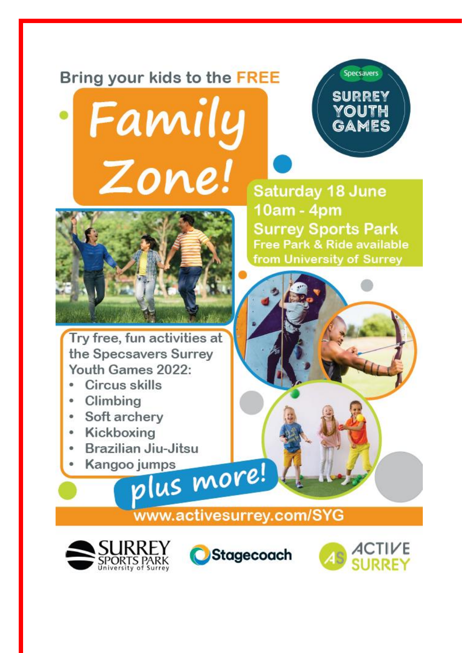## Bring your kids to the FREE

Family

Zone!



Try free, fun activities at the Specsavers Surrey Youth Games 2022:

- Circus skills
- Climbing  $\bullet$
- Soft archery  $\bullet$
- Kickboxing  $\bullet$
- Brazilian Jiu-Jitsu  $\bullet$
- Kangoo jumps plus more!

**Saturday 18 June** 10am - 4pm **Surrey Sports Park** Free Park & Ride available from University of Surrey

**Specsavers** 

**SURREY** 

YOUTH GAMES



www.activesurrey.com/SYG